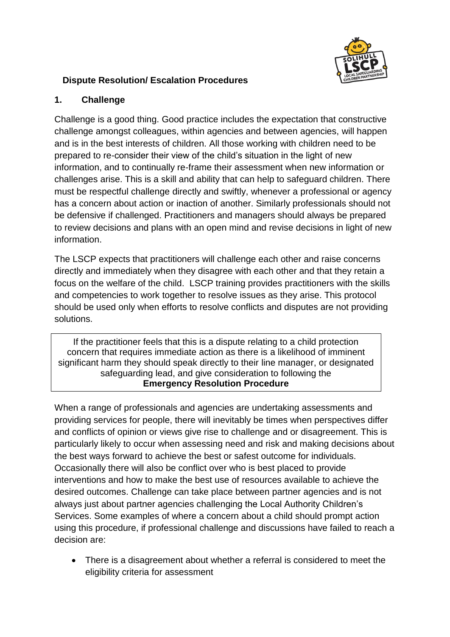

# **Dispute Resolution/ Escalation Procedures**

### **1. Challenge**

Challenge is a good thing. Good practice includes the expectation that constructive challenge amongst colleagues, within agencies and between agencies, will happen and is in the best interests of children. All those working with children need to be prepared to re-consider their view of the child's situation in the light of new information, and to continually re-frame their assessment when new information or challenges arise. This is a skill and ability that can help to safeguard children. There must be respectful challenge directly and swiftly, whenever a professional or agency has a concern about action or inaction of another. Similarly professionals should not be defensive if challenged. Practitioners and managers should always be prepared to review decisions and plans with an open mind and revise decisions in light of new information.

The LSCP expects that practitioners will challenge each other and raise concerns directly and immediately when they disagree with each other and that they retain a focus on the welfare of the child. LSCP training provides practitioners with the skills and competencies to work together to resolve issues as they arise. This protocol should be used only when efforts to resolve conflicts and disputes are not providing solutions.

If the practitioner feels that this is a dispute relating to a child protection concern that requires immediate action as there is a likelihood of imminent significant harm they should speak directly to their line manager, or designated safeguarding lead, and give consideration to following the **Emergency Resolution Procedure**

When a range of professionals and agencies are undertaking assessments and providing services for people, there will inevitably be times when perspectives differ and conflicts of opinion or views give rise to challenge and or disagreement. This is particularly likely to occur when assessing need and risk and making decisions about the best ways forward to achieve the best or safest outcome for individuals. Occasionally there will also be conflict over who is best placed to provide interventions and how to make the best use of resources available to achieve the desired outcomes. Challenge can take place between partner agencies and is not always just about partner agencies challenging the Local Authority Children's Services. Some examples of where a concern about a child should prompt action using this procedure, if professional challenge and discussions have failed to reach a decision are:

 There is a disagreement about whether a referral is considered to meet the eligibility criteria for assessment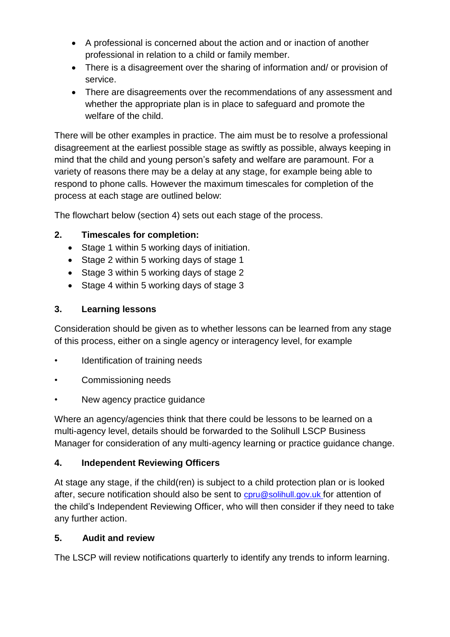- A professional is concerned about the action and or inaction of another professional in relation to a child or family member.
- There is a disagreement over the sharing of information and/ or provision of service.
- There are disagreements over the recommendations of any assessment and whether the appropriate plan is in place to safeguard and promote the welfare of the child.

There will be other examples in practice. The aim must be to resolve a professional disagreement at the earliest possible stage as swiftly as possible, always keeping in mind that the child and young person's safety and welfare are paramount. For a variety of reasons there may be a delay at any stage, for example being able to respond to phone calls. However the maximum timescales for completion of the process at each stage are outlined below:

The flowchart below (section 4) sets out each stage of the process.

## **2. Timescales for completion:**

- Stage 1 within 5 working days of initiation.
- Stage 2 within 5 working days of stage 1
- Stage 3 within 5 working days of stage 2
- Stage 4 within 5 working days of stage 3

#### **3. Learning lessons**

Consideration should be given as to whether lessons can be learned from any stage of this process, either on a single agency or interagency level, for example

- Identification of training needs
- Commissioning needs
- New agency practice guidance

Where an agency/agencies think that there could be lessons to be learned on a multi-agency level, details should be forwarded to the Solihull LSCP Business Manager for consideration of any multi-agency learning or practice guidance change.

#### **4. Independent Reviewing Officers**

At stage any stage, if the child(ren) is subject to a child protection plan or is looked after, secure notification should also be sent to [cpru@solihull.gov.uk](mailto:cpru@solihull.gov.uk) for attention of the child's Independent Reviewing Officer, who will then consider if they need to take any further action.

#### **5. Audit and review**

The LSCP will review notifications quarterly to identify any trends to inform learning.